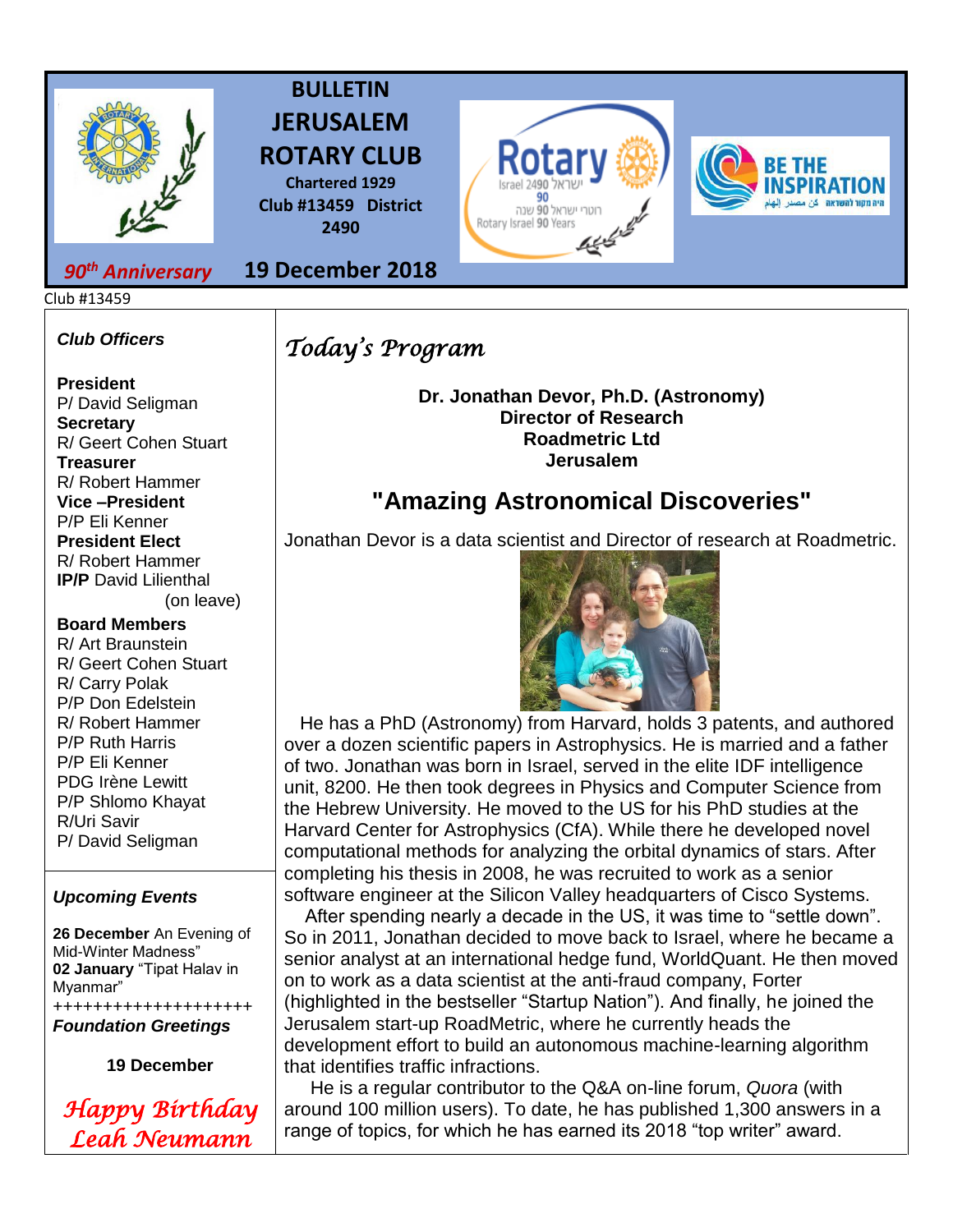

# **BULLETIN JERUSALEM ROTARY CLUB**

**Chartered 1929 Club #13459 District 2490**

**19 December 2018**



## *90th Anniversary*

Club #13459

### *Club Officers*

**President**  P/ David Seligman **Secretary**  R/ Geert Cohen Stuart **Treasurer**  R/ Robert Hammer **Vice –President**  P/P Eli Kenner **President Elect**  R/ Robert Hammer **IP/P** David Lilienthal (on leave)

#### **Board Members**

R/ Art Braunstein R/ Geert Cohen Stuart R/ Carry Polak P/P Don Edelstein R/ Robert Hammer P/P Ruth Harris P/P Eli Kenner PDG Irène Lewitt P/P Shlomo Khayat R/Uri Savir P/ David Seligman

### *Upcoming Events*

**26 December** An Evening of Mid-Winter Madness" **02 January** "Tipat Halav in Myanmar" ++++++++++++++++++++

*Foundation Greetings*

**19 December**



*Today's Program* 

**Dr. Jonathan Devor, Ph.D. (Astronomy) Director of Research Roadmetric Ltd Jerusalem**

# **"Amazing Astronomical Discoveries"**

Jonathan Devor is a data scientist and Director of research at Roadmetric.



 He has a PhD (Astronomy) from Harvard, holds 3 patents, and authored over a dozen scientific papers in Astrophysics. He is married and a father of two. Jonathan was born in Israel, served in the elite IDF intelligence unit, 8200. He then took degrees in Physics and Computer Science from the Hebrew University. He moved to the US for his PhD studies at the Harvard Center for Astrophysics (CfA). While there he developed novel computational methods for analyzing the orbital dynamics of stars. After completing his thesis in 2008, he was recruited to work as a senior software engineer at the Silicon Valley headquarters of Cisco Systems.

 After spending nearly a decade in the US, it was time to "settle down". So in 2011, Jonathan decided to move back to Israel, where he became a senior analyst at an international hedge fund, WorldQuant. He then moved on to work as a data scientist at the anti-fraud company, Forter (highlighted in the bestseller "Startup Nation"). And finally, he joined the Jerusalem start-up RoadMetric, where he currently heads the development effort to build an autonomous machine-learning algorithm that identifies traffic infractions.

 He is a regular contributor to the Q&A on-line forum, *Quora* (with around 100 million users). To date, he has published 1,300 answers in a range of topics, for which he has earned its 2018 "top writer" award.